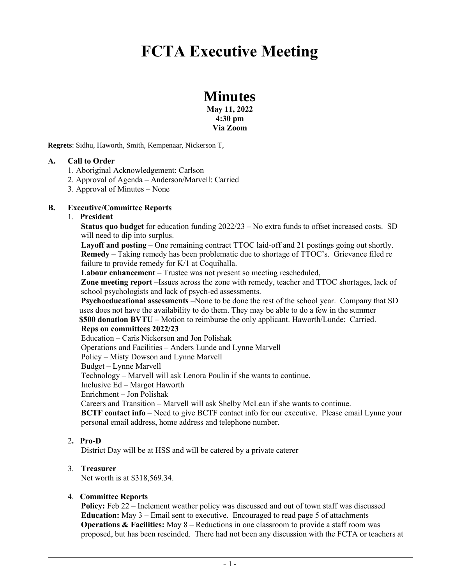# **Minutes**

**May 11, 2022 4:30 pm Via Zoom**

**Regrets**: Sidhu, Haworth, Smith, Kempenaar, Nickerson T,

#### **A. Call to Order**

- 1. Aboriginal Acknowledgement: Carlson
- 2. Approval of Agenda Anderson/Marvell: Carried
- 3. Approval of Minutes None

#### **B. Executive/Committee Reports**

#### 1. **President**

**Status quo budget** for education funding 2022/23 – No extra funds to offset increased costs. SD will need to dip into surplus.

**Layoff and posting** – One remaining contract TTOC laid-off and 21 postings going out shortly. **Remedy** – Taking remedy has been problematic due to shortage of TTOC's. Grievance filed re failure to provide remedy for K/1 at Coquihalla.

**Labour enhancement** – Trustee was not present so meeting rescheduled,

**Zone meeting report** –Issues across the zone with remedy, teacher and TTOC shortages, lack of school psychologists and lack of psych-ed assessments.

**Psychoeducational assessments** –None to be done the rest of the school year. Company that SD uses does not have the availability to do them. They may be able to do a few in the summer **\$500 donation BVTU** – Motion to reimburse the only applicant. Haworth/Lunde: Carried.

#### **Reps on committees 2022/23**

Education – Caris Nickerson and Jon Polishak Operations and Facilities – Anders Lunde and Lynne Marvell Policy – Misty Dowson and Lynne Marvell Budget – Lynne Marvell Technology – Marvell will ask Lenora Poulin if she wants to continue. Inclusive Ed – Margot Haworth Enrichment – Jon Polishak Careers and Transition – Marvell will ask Shelby McLean if she wants to continue. **BCTF contact info** – Need to give BCTF contact info for our executive. Please email Lynne your personal email address, home address and telephone number.

#### 2**. Pro-D**

District Day will be at HSS and will be catered by a private caterer

#### 3. **Treasurer**

Net worth is at \$318,569.34.

#### 4. **Committee Reports**

**Policy:** Feb 22 – Inclement weather policy was discussed and out of town staff was discussed **Education:** May 3 – Email sent to executive. Encouraged to read page 5 of attachments **Operations & Facilities:** May 8 – Reductions in one classroom to provide a staff room was proposed, but has been rescinded. There had not been any discussion with the FCTA or teachers at